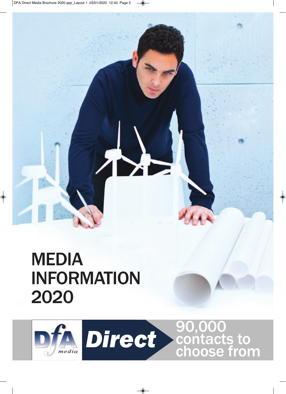## MEDIA INFORMATION 2020

♦



◈

 $\begin{matrix} \bullet \\ \bullet \end{matrix}$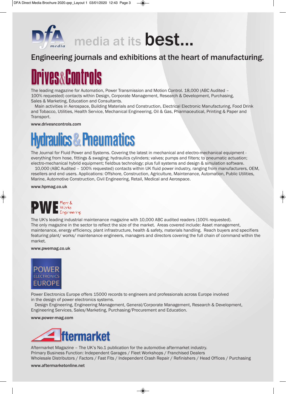

### Engineering journals and exhibitions at the heart of manufacturing.

# Drives**&**Controls

The leading magazine for Automation, Power Transmission and Motion Control. 18,000 (ABC Audited – 100% requested) contacts within Design, Corporate Management, Research & Development, Purchasing, Sales & Marketing, Education and Consultants.

Main activities in Aerospace, Building Materials and Construction, Electrical Electronic Manufacturing, Food Drink and Tobacco, Utilities, Health Service, Mechanical Engineering, Oil & Gas, Pharmaceutical, Printing & Paper and Transport.

www.drivesncontrols.com

## Hydraulics&Pneumatics

The Journal for Fluid Power and Systems. Covering the latest in mechanical and electro-mechanical equipment everything from hose, fittings & swaging; hydraulics cylinders; valves; pumps and filters; to pneumatic actuation; electro-mechanical hybrid equipment; fieldbus technology; plus full systems and design & simulation software.

10,000 (ABC Audited – 100% requested) contacts within UK fluid power industry, ranging from manufacturers, OEM, resellers and end users. Applications: Offshore, Construction, Agriculture, Maintenance, Automation, Public Utilities, Marine, Automotive Construction, Civil Engineering, Retail, Medical and Aerospace.

www.hpmag.co.uk

## Works ■ Works<br>■ Engineering

The UK's leading industrial maintenance magazine with 10,000 ABC audited readers (100% requested). The only magazine in the sector to reflect the size of the market. Areas covered include: Asset management, maintenance, energy efficiency, plant infrastructure, health & safety, materials handling. Reach buyers and specifiers featuring plant/ works/ maintenance engineers, managers and directors covering the full chain of command within the market.

www.pwemag.co.uk



Power Electronics Europe offers 15000 records to engineers and professionals across Europe involved in the design of power electronics systems.

Design Engineering, Engineering Management, General/Corporate Management, Research & Development, Engineering Services, Sales/Marketing, Purchasing/Procurement and Education.

www.power-mag.com



Aftermarket Magazine – The UK's No.1 publication for the automotive aftermarket industry. Primary Business Function: Independent Garages / Fleet Workshops / Franchised Dealers Wholesale Distributors / Factors / Fast Fits / Independent Crash Repair / Refinishers / Head Offices / Purchasing

◈

www.aftermarketonline.net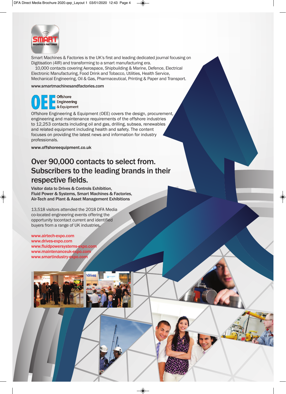

Smart Machines & Factories is the UK's first and leading dedicated journal focusing on Digitisation (4IR) and transforming to a smart manufacturing era.

10,000 contacts covering Aerospace, Shipbuilding & Marine, Defence, Electrical Electronic Manufacturing, Food Drink and Tobacco, Utilities, Health Service, Mechanical Engineering, Oil & Gas, Pharmaceutical, Printing & Paper and Transport.

www.smartmachinesandfactories.com



Offshore Engineering & Equipment (OEE) covers the design, procurement, engineering and maintenance requirements of the offshore industries to 12,253 contacts including oil and gas, drilling, subsea, renewables and related equipment including health and safety. The content focuses on providing the latest news and information for industry professionals.

www.offshoreequipment.co.uk

## Over 90,000 contacts to select from. Subscribers to the leading brands in their respective fields.

Visitor data to Drives & Controls Exhibition, Fluid Power & Systems, Smart Machines & Factories, Air-Tech and Plant & Asset Management Exhibitions

13,518 visitors attended the 2018 DFA Media co-located engineering events offering the opportunity tocontact current and identified buyers from a range of UK industries.

www.airtech-expo.com www.drives-expo.com www.fluidpowersystems-expo.cor www.maintenanceuk-expo.com www.smartindustry-expo.com